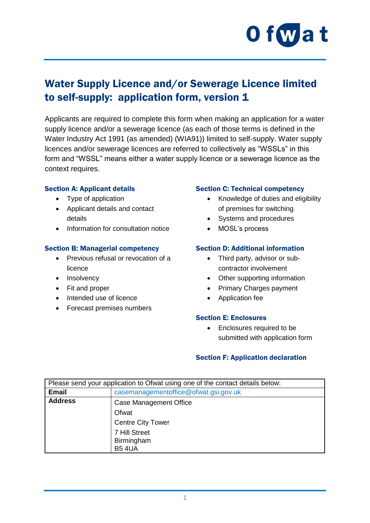

## Water Supply Licence and/or Sewerage Licence limited to self-supply: application form, version 1

Applicants are required to complete this form when making an application for a water supply licence and/or a sewerage licence (as each of those terms is defined in the Water Industry Act 1991 (as amended) (WIA91)) limited to self-supply. Water supply licences and/or sewerage licences are referred to collectively as "WSSLs" in this form and "WSSL" means either a water supply licence or a sewerage licence as the context requires.

#### Section A: Applicant details

- Type of application
- Applicant details and contact details
- Information for consultation notice

#### Section B: Managerial competency

- Previous refusal or revocation of a licence
- Insolvency
- Fit and proper
- Intended use of licence
- Forecast premises numbers

#### Section C: Technical competency

- Knowledge of duties and eligibility of premises for switching
- Systems and procedures
- MOSL's process

#### Section D: Additional information

- Third party, advisor or subcontractor involvement
- Other supporting information
- Primary Charges payment
- Application fee

#### Section E: Enclosures

• Enclosures required to be submitted with application form

#### Section F: Application declaration

| Please send your application to Ofwat using one of the contact details below: |                                       |
|-------------------------------------------------------------------------------|---------------------------------------|
| <b>Email</b>                                                                  | casemanagementoffice@ofwat.gsi.gov.uk |
| <b>Address</b>                                                                | <b>Case Management Office</b>         |
|                                                                               | Ofwat                                 |
|                                                                               | <b>Centre City Tower</b>              |
|                                                                               | 7 Hill Street                         |
|                                                                               | Birmingham                            |
|                                                                               | <b>B54UA</b>                          |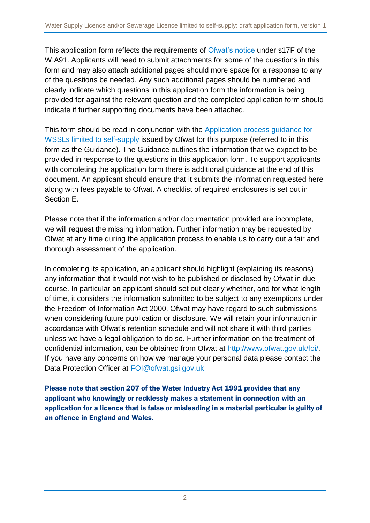This application form reflects the requirements of [Ofwat's notice](http://www.ofwat.gov.uk/publication/notice-determination-section-17f1-regarding-applications-water-supply-sewerage-licences/) under s17F of the WIA91. Applicants will need to submit attachments for some of the questions in this form and may also attach additional pages should more space for a response to any of the questions be needed. Any such additional pages should be numbered and clearly indicate which questions in this application form the information is being provided for against the relevant question and the completed application form should indicate if further supporting documents have been attached.

This form should be read in conjunction with the [Application process guidance for](https://www.ofwat.gov.uk/publication/draft-application-guidance-for-water-supply-licence-and-or-sewerage-licence-wssl-limited-to-self-supply/)  WSSLs [limited to self-supply](https://www.ofwat.gov.uk/publication/draft-application-guidance-for-water-supply-licence-and-or-sewerage-licence-wssl-limited-to-self-supply/) issued by Ofwat for this purpose (referred to in this form as the Guidance). The Guidance outlines the information that we expect to be provided in response to the questions in this application form. To support applicants with completing the application form there is additional guidance at the end of this document. An applicant should ensure that it submits the information requested here along with fees payable to Ofwat. A checklist of required enclosures is set out in Section E.

Please note that if the information and/or documentation provided are incomplete, we will request the missing information. Further information may be requested by Ofwat at any time during the application process to enable us to carry out a fair and thorough assessment of the application.

In completing its application, an applicant should highlight (explaining its reasons) any information that it would not wish to be published or disclosed by Ofwat in due course. In particular an applicant should set out clearly whether, and for what length of time, it considers the information submitted to be subject to any exemptions under the Freedom of Information Act 2000. Ofwat may have regard to such submissions when considering future publication or disclosure. We will retain your information in accordance with Ofwat's retention schedule and will not share it with third parties unless we have a legal obligation to do so. Further information on the treatment of confidential information, can be obtained from Ofwat at<http://www.ofwat.gov.uk/foi/>. If you have any concerns on how we manage your personal data please contact the Data Protection Officer at [FOI@ofwat.gsi.gov.uk](mailto:FOI@ofwat.gsi.gov.uk)

Please note that section 207 of the Water Industry Act 1991 provides that any applicant who knowingly or recklessly makes a statement in connection with an application for a licence that is false or misleading in a material particular is guilty of an offence in England and Wales.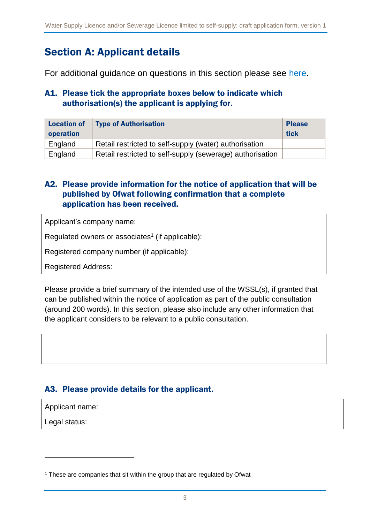## Section A: Applicant details

For additional guidance on questions in this section please see [here.](#page-14-0)

#### A1. Please tick the appropriate boxes below to indicate which authorisation(s) the applicant is applying for.

| <b>Location of</b><br>operation | <b>Type of Authorisation</b>                              | <b>Please</b><br>tick |
|---------------------------------|-----------------------------------------------------------|-----------------------|
|                                 |                                                           |                       |
| England                         | Retail restricted to self-supply (water) authorisation    |                       |
| England                         | Retail restricted to self-supply (sewerage) authorisation |                       |

### A2. Please provide information for the notice of application that will be published by Ofwat following confirmation that a complete application has been received.

Applicant's company name:

Regulated owners or associates<sup>1</sup> (if applicable):

Registered company number (if applicable):

Registered Address:

Please provide a brief summary of the intended use of the WSSL(s), if granted that can be published within the notice of application as part of the public consultation (around 200 words). In this section, please also include any other information that the applicant considers to be relevant to a public consultation.

### A3. Please provide details for the applicant.

Applicant name:

Legal status:

1

<sup>&</sup>lt;sup>1</sup> These are companies that sit within the group that are regulated by Ofwat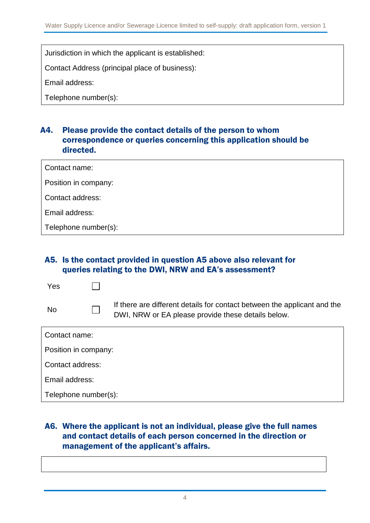Jurisdiction in which the applicant is established:

Contact Address (principal place of business):

Email address:

Telephone number(s):

#### A4. Please provide the contact details of the person to whom correspondence or queries concerning this application should be directed.

| Contact name:        |  |
|----------------------|--|
| Position in company: |  |
| Contact address:     |  |
| Email address:       |  |
| Telephone number(s): |  |

#### A5. Is the contact provided in question A5 above also relevant for queries relating to the DWI, NRW and EA's assessment?

| Yes                  |  |                                                                                                                                |
|----------------------|--|--------------------------------------------------------------------------------------------------------------------------------|
| <b>No</b>            |  | If there are different details for contact between the applicant and the<br>DWI, NRW or EA please provide these details below. |
| Contact name:        |  |                                                                                                                                |
| Position in company: |  |                                                                                                                                |
| Contact address:     |  |                                                                                                                                |
| Email address:       |  |                                                                                                                                |

Telephone number(s):

### A6. Where the applicant is not an individual, please give the full names and contact details of each person concerned in the direction or management of the applicant's affairs.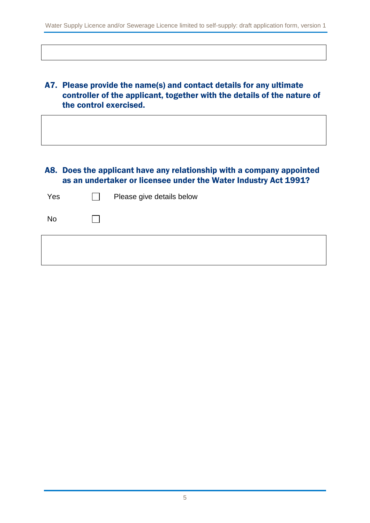#### A7. Please provide the name(s) and contact details for any ultimate controller of the applicant, together with the details of the nature of the control exercised.

#### A8. Does the applicant have any relationship with a company appointed as an undertaker or licensee under the Water Industry Act 1991?

| Yes       | $\mathcal{L}_{\mathcal{A}}$ | Please give details below |
|-----------|-----------------------------|---------------------------|
| <b>No</b> |                             |                           |
|           |                             |                           |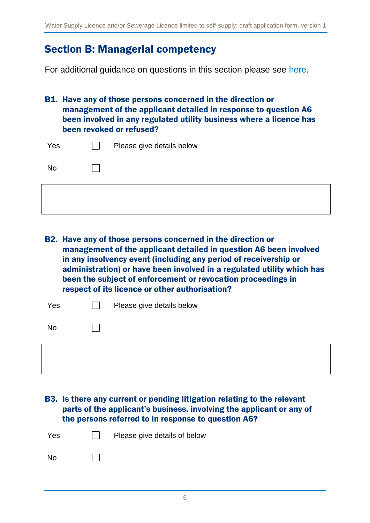### Section B: Managerial competency

For additional guidance on questions in this section please see [here.](#page-15-0)

B1. Have any of those persons concerned in the direction or management of the applicant detailed in response to question A6 been involved in any regulated utility business where a licence has been revoked or refused?

| Yes       | Please give details below |
|-----------|---------------------------|
| <b>No</b> |                           |

B2. Have any of those persons concerned in the direction or management of the applicant detailed in question A6 been involved in any insolvency event (including any period of receivership or administration) or have been involved in a regulated utility which has been the subject of enforcement or revocation proceedings in respect of its licence or other authorisation?

| Yes       | Please give details below |
|-----------|---------------------------|
| <b>No</b> |                           |
|           |                           |

B3. Is there any current or pending litigation relating to the relevant parts of the applicant's business, involving the applicant or any of the persons referred to in response to question A6?

| Yes       |              | $\Box$ Please give details of below |
|-----------|--------------|-------------------------------------|
| <b>No</b> | $\mathbf{1}$ |                                     |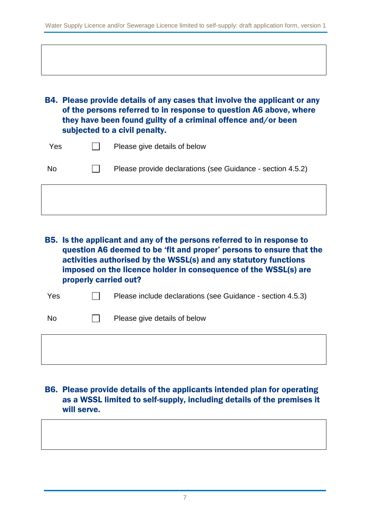B4. Please provide details of any cases that involve the applicant or any of the persons referred to in response to question A6 above, where they have been found guilty of a criminal offence and/or been subjected to a civil penalty.

| Yes       | $\mathbf{1}$ | Please give details of below                               |
|-----------|--------------|------------------------------------------------------------|
| <b>No</b> |              | Please provide declarations (see Guidance - section 4.5.2) |

B5. Is the applicant and any of the persons referred to in response to question A6 deemed to be 'fit and proper' persons to ensure that the activities authorised by the WSSL(s) and any statutory functions imposed on the licence holder in consequence of the WSSL(s) are properly carried out?

| Yes | Please include declarations (see Guidance - section 4.5.3) |
|-----|------------------------------------------------------------|
|     |                                                            |

 $\Box$  Please give details of below

### B6. Please provide details of the applicants intended plan for operating as a WSSL limited to self-supply, including details of the premises it will serve.

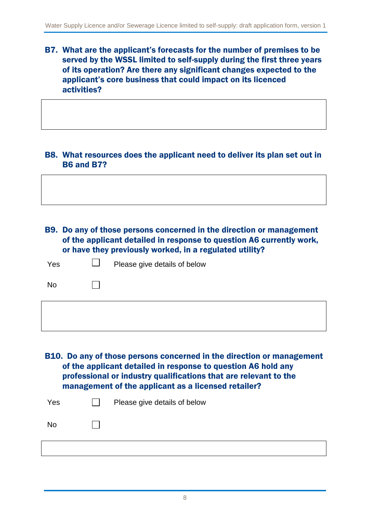B7. What are the applicant's forecasts for the number of premises to be served by the WSSL limited to self-supply during the first three years of its operation? Are there any significant changes expected to the applicant's core business that could impact on its licenced activities?

#### B8. What resources does the applicant need to deliver its plan set out in B6 and B7?

B9. Do any of those persons concerned in the direction or management of the applicant detailed in response to question A6 currently work, or have they previously worked, in a regulated utility?

| Yes       | Please give details of below |
|-----------|------------------------------|
| <b>No</b> |                              |
|           |                              |

B10. Do any of those persons concerned in the direction or management of the applicant detailed in response to question A6 hold any professional or industry qualifications that are relevant to the management of the applicant as a licensed retailer?

| Yes       | Please give details of below |
|-----------|------------------------------|
| <b>No</b> |                              |
|           |                              |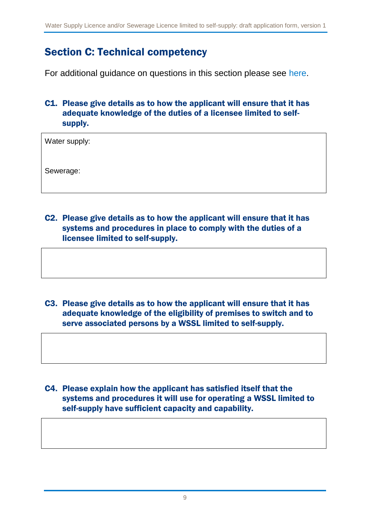## Section C: Technical competency

For additional guidance on questions in this section please see [here.](#page-17-0)

### C1. Please give details as to how the applicant will ensure that it has adequate knowledge of the duties of a licensee limited to selfsupply.

Water supply:

Sewerage:

C2. Please give details as to how the applicant will ensure that it has systems and procedures in place to comply with the duties of a licensee limited to self-supply.

C3. Please give details as to how the applicant will ensure that it has adequate knowledge of the eligibility of premises to switch and to serve associated persons by a WSSL limited to self-supply.

C4. Please explain how the applicant has satisfied itself that the systems and procedures it will use for operating a WSSL limited to self-supply have sufficient capacity and capability.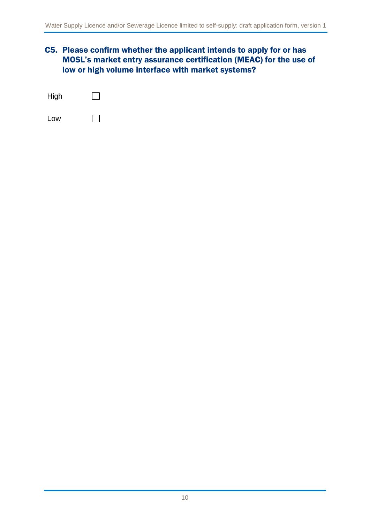#### C5. Please confirm whether the applicant intends to apply for or has MOSL's market entry assurance certification (MEAC) for the use of low or high volume interface with market systems?

| High |  |
|------|--|
| Low  |  |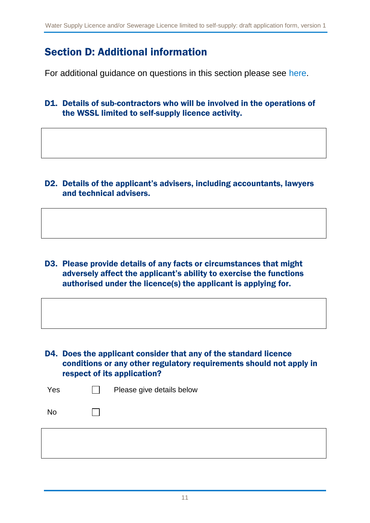## Section D: Additional information

For additional guidance on questions in this section please see [here.](#page-18-0)

D1. Details of sub-contractors who will be involved in the operations of the WSSL limited to self-supply licence activity.

D2. Details of the applicant's advisers, including accountants, lawyers and technical advisers.

D3. Please provide details of any facts or circumstances that might adversely affect the applicant's ability to exercise the functions authorised under the licence(s) the applicant is applying for.

D4. Does the applicant consider that any of the standard licence conditions or any other regulatory requirements should not apply in respect of its application?

| Yes       | Please give details below |
|-----------|---------------------------|
| <b>No</b> |                           |
|           |                           |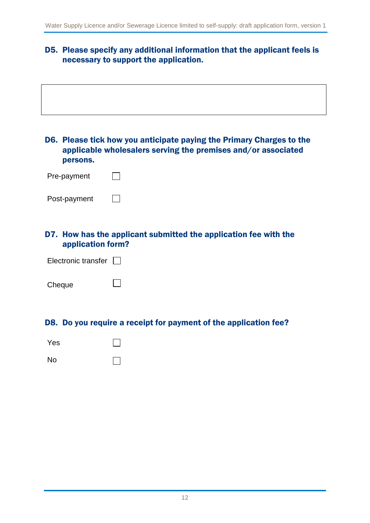### D5. Please specify any additional information that the applicant feels is necessary to support the application.

| persons.            | D6. Please tick how you anticipate paying the Primary Charges to the<br>applicable wholesalers serving the premises and/or associated |
|---------------------|---------------------------------------------------------------------------------------------------------------------------------------|
| Pre-payment         |                                                                                                                                       |
| Post-payment        |                                                                                                                                       |
| application form?   | D7. How has the applicant submitted the application fee with the                                                                      |
| Electronic transfer |                                                                                                                                       |
| Cheque              |                                                                                                                                       |
|                     | D8. Do you require a receipt for payment of the application fee?                                                                      |
| Yes                 |                                                                                                                                       |
| <b>No</b>           |                                                                                                                                       |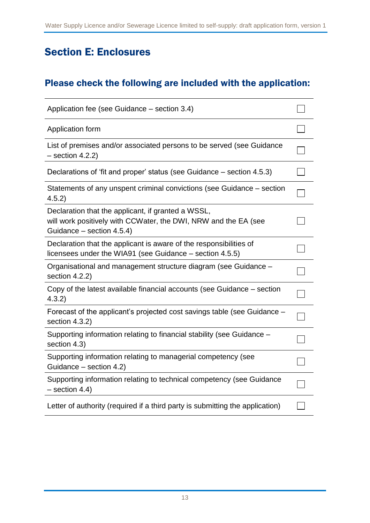# Section E: Enclosures

### Please check the following are included with the application:

| Application fee (see Guidance – section 3.4)                                                                                                       |  |  |
|----------------------------------------------------------------------------------------------------------------------------------------------------|--|--|
| Application form                                                                                                                                   |  |  |
| List of premises and/or associated persons to be served (see Guidance<br>$-$ section 4.2.2)                                                        |  |  |
| Declarations of 'fit and proper' status (see Guidance – section 4.5.3)                                                                             |  |  |
| Statements of any unspent criminal convictions (see Guidance – section<br>4.5.2)                                                                   |  |  |
| Declaration that the applicant, if granted a WSSL,<br>will work positively with CCWater, the DWI, NRW and the EA (see<br>Guidance - section 4.5.4) |  |  |
| Declaration that the applicant is aware of the responsibilities of<br>licensees under the WIA91 (see Guidance – section 4.5.5)                     |  |  |
| Organisational and management structure diagram (see Guidance -<br>section 4.2.2)                                                                  |  |  |
| Copy of the latest available financial accounts (see Guidance – section<br>4.3.2)                                                                  |  |  |
| Forecast of the applicant's projected cost savings table (see Guidance –<br>section 4.3.2)                                                         |  |  |
| Supporting information relating to financial stability (see Guidance -<br>section 4.3)                                                             |  |  |
| Supporting information relating to managerial competency (see<br>Guidance - section 4.2)                                                           |  |  |
| Supporting information relating to technical competency (see Guidance<br>$-$ section 4.4)                                                          |  |  |
| Letter of authority (required if a third party is submitting the application)                                                                      |  |  |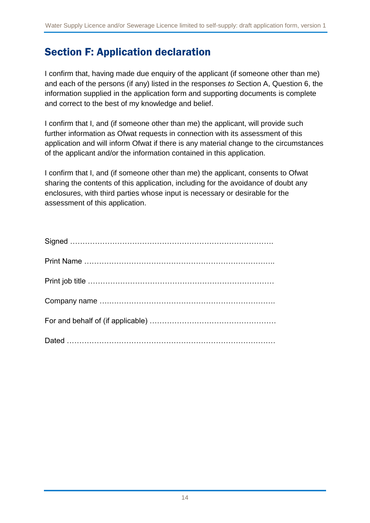## Section F: Application declaration

I confirm that, having made due enquiry of the applicant (if someone other than me) and each of the persons (if any) listed in the responses *to* Section A, Question 6, the information supplied in the application form and supporting documents is complete and correct to the best of my knowledge and belief.

I confirm that I, and (if someone other than me) the applicant, will provide such further information as Ofwat requests in connection with its assessment of this application and will inform Ofwat if there is any material change to the circumstances of the applicant and/or the information contained in this application.

I confirm that I, and (if someone other than me) the applicant, consents to Ofwat sharing the contents of this application, including for the avoidance of doubt any enclosures, with third parties whose input is necessary or desirable for the assessment of this application.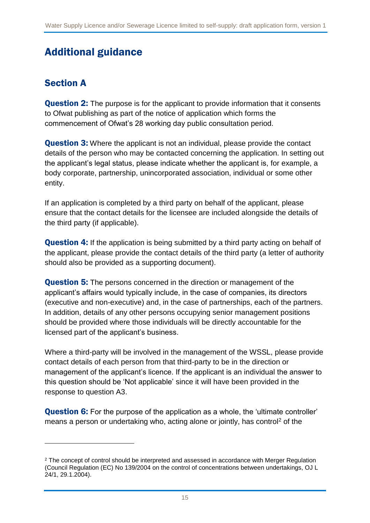# Additional guidance

### <span id="page-14-0"></span>Section A

1

**Question 2:** The purpose is for the applicant to provide information that it consents to Ofwat publishing as part of the notice of application which forms the commencement of Ofwat's 28 working day public consultation period.

**Question 3:** Where the applicant is not an individual, please provide the contact details of the person who may be contacted concerning the application. In setting out the applicant's legal status, please indicate whether the applicant is, for example, a body corporate, partnership, unincorporated association, individual or some other entity.

If an application is completed by a third party on behalf of the applicant, please ensure that the contact details for the licensee are included alongside the details of the third party (if applicable).

**Question 4:** If the application is being submitted by a third party acting on behalf of the applicant, please provide the contact details of the third party (a letter of authority should also be provided as a supporting document).

**Question 5:** The persons concerned in the direction or management of the applicant's affairs would typically include, in the case of companies, its directors (executive and non-executive) and, in the case of partnerships, each of the partners. In addition, details of any other persons occupying senior management positions should be provided where those individuals will be directly accountable for the licensed part of the applicant's business.

Where a third-party will be involved in the management of the WSSL, please provide contact details of each person from that third-party to be in the direction or management of the applicant's licence. If the applicant is an individual the answer to this question should be 'Not applicable' since it will have been provided in the response to question A3.

**Question 6:** For the purpose of the application as a whole, the 'ultimate controller' means a person or undertaking who, acting alone or jointly, has control<sup>2</sup> of the

<sup>&</sup>lt;sup>2</sup> The concept of control should be interpreted and assessed in accordance with Merger Regulation (Council Regulation (EC) No 139/2004 on the control of concentrations between undertakings, OJ L 24/1, 29.1.2004).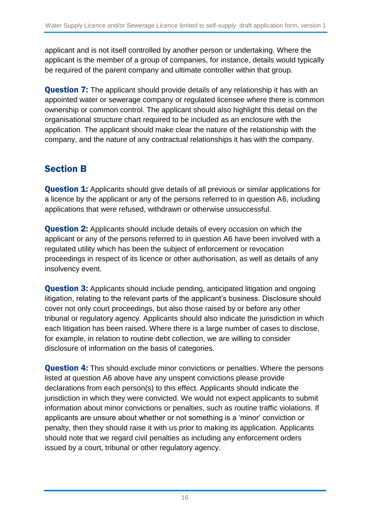applicant and is not itself controlled by another person or undertaking. Where the applicant is the member of a group of companies, for instance, details would typically be required of the parent company and ultimate controller within that group.

**Question 7:** The applicant should provide details of any relationship it has with an appointed water or sewerage company or regulated licensee where there is common ownership or common control. The applicant should also highlight this detail on the organisational structure chart required to be included as an enclosure with the application. The applicant should make clear the nature of the relationship with the company, and the nature of any contractual relationships it has with the company.

### <span id="page-15-0"></span>Section B

**Question 1:** Applicants should give details of all previous or similar applications for a licence by the applicant or any of the persons referred to in question A6, including applications that were refused, withdrawn or otherwise unsuccessful.

**Question 2:** Applicants should include details of every occasion on which the applicant or any of the persons referred to in question A6 have been involved with a regulated utility which has been the subject of enforcement or revocation proceedings in respect of its licence or other authorisation, as well as details of any insolvency event.

**Question 3:** Applicants should include pending, anticipated litigation and ongoing litigation, relating to the relevant parts of the applicant's business. Disclosure should cover not only court proceedings, but also those raised by or before any other tribunal or regulatory agency. Applicants should also indicate the jurisdiction in which each litigation has been raised. Where there is a large number of cases to disclose, for example, in relation to routine debt collection, we are willing to consider disclosure of information on the basis of categories.

**Question 4:** This should exclude minor convictions or penalties. Where the persons listed at question A6 above have any unspent convictions please provide declarations from each person(s) to this effect. Applicants should indicate the jurisdiction in which they were convicted. We would not expect applicants to submit information about minor convictions or penalties, such as routine traffic violations. If applicants are unsure about whether or not something is a 'minor' conviction or penalty, then they should raise it with us prior to making its application. Applicants should note that we regard civil penalties as including any enforcement orders issued by a court, tribunal or other regulatory agency.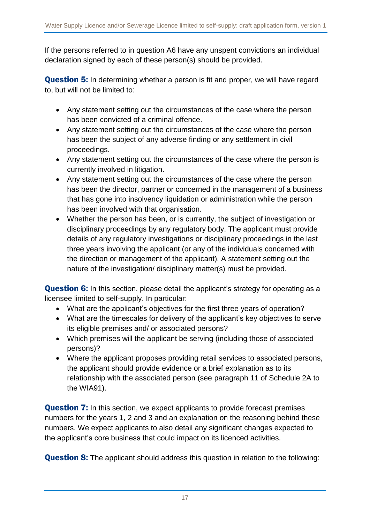If the persons referred to in question A6 have any unspent convictions an individual declaration signed by each of these person(s) should be provided.

**Question 5:** In determining whether a person is fit and proper, we will have regard to, but will not be limited to:

- Any statement setting out the circumstances of the case where the person has been convicted of a criminal offence.
- Any statement setting out the circumstances of the case where the person has been the subject of any adverse finding or any settlement in civil proceedings.
- Any statement setting out the circumstances of the case where the person is currently involved in litigation.
- Any statement setting out the circumstances of the case where the person has been the director, partner or concerned in the management of a business that has gone into insolvency liquidation or administration while the person has been involved with that organisation.
- Whether the person has been, or is currently, the subject of investigation or disciplinary proceedings by any regulatory body. The applicant must provide details of any regulatory investigations or disciplinary proceedings in the last three years involving the applicant (or any of the individuals concerned with the direction or management of the applicant). A statement setting out the nature of the investigation/ disciplinary matter(s) must be provided.

**Question 6:** In this section, please detail the applicant's strategy for operating as a licensee limited to self-supply. In particular:

- What are the applicant's objectives for the first three years of operation?
- What are the timescales for delivery of the applicant's key objectives to serve its eligible premises and/ or associated persons?
- Which premises will the applicant be serving (including those of associated persons)?
- Where the applicant proposes providing retail services to associated persons, the applicant should provide evidence or a brief explanation as to its relationship with the associated person (see paragraph 11 of Schedule 2A to the WIA91).

**Question 7:** In this section, we expect applicants to provide forecast premises numbers for the years 1, 2 and 3 and an explanation on the reasoning behind these numbers. We expect applicants to also detail any significant changes expected to the applicant's core business that could impact on its licenced activities.

**Question 8:** The applicant should address this question in relation to the following: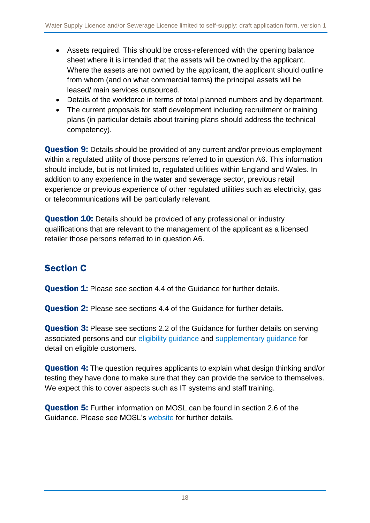- Assets required. This should be cross-referenced with the opening balance sheet where it is intended that the assets will be owned by the applicant. Where the assets are not owned by the applicant, the applicant should outline from whom (and on what commercial terms) the principal assets will be leased/ main services outsourced.
- Details of the workforce in terms of total planned numbers and by department.
- The current proposals for staff development including recruitment or training plans (in particular details about training plans should address the technical competency).

**Question 9:** Details should be provided of any current and/or previous employment within a regulated utility of those persons referred to in question A6. This information should include, but is not limited to, regulated utilities within England and Wales. In addition to any experience in the water and sewerage sector, previous retail experience or previous experience of other regulated utilities such as electricity, gas or telecommunications will be particularly relevant.

**Question 10:** Details should be provided of any professional or industry qualifications that are relevant to the management of the applicant as a licensed retailer those persons referred to in question A6.

## <span id="page-17-0"></span>Section C

**Question 1:** Please see section 4.4 of the Guidance for further details.

**Question 2:** Please see sections 4.4 of the Guidance for further details.

**Question 3:** Please see sections 2.2 of the Guidance for further details on serving associated persons and our [eligibility guidance](https://www.ofwat.gov.uk/wp-content/uploads/2016/07/pap_gud201607updatedretaileligibility.pdf) and [supplementary](https://www.ofwat.gov.uk/wp-content/uploads/2016/07/pap_gud201607suppretaileligibility.pdf) guidance for detail on eligible customers.

**Question 4:** The question requires applicants to explain what design thinking and/or testing they have done to make sure that they can provide the service to themselves. We expect this to cover aspects such as IT systems and staff training.

Question 5: Further information on MOSL can be found in section 2.6 of the Guidance. Please see MOSL's [website](https://www.mosl.co.uk/market-entry-change-exit/market-entry) for further details.